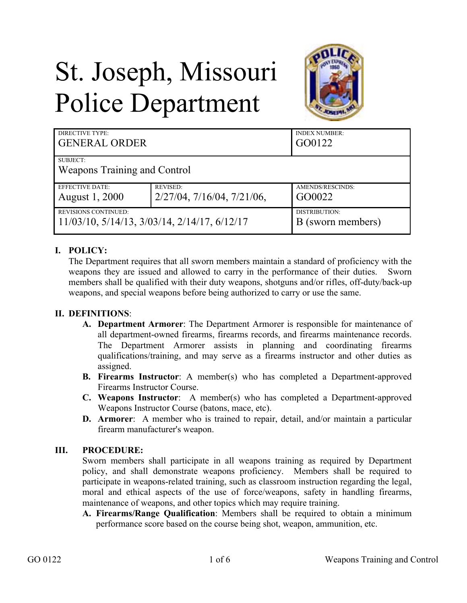# St. Joseph, Missouri Police Department



| DIRECTIVE TYPE:                                 |                                     | <b>INDEX NUMBER:</b> |
|-------------------------------------------------|-------------------------------------|----------------------|
| <b>GENERAL ORDER</b>                            |                                     | GO0122               |
| SUBJECT:<br><b>Weapons Training and Control</b> |                                     |                      |
| <b>EFFECTIVE DATE:</b>                          | <b>REVISED:</b>                     | AMENDS/RESCINDS:     |
| August 1, 2000                                  | $2/27/04$ , $7/16/04$ , $7/21/06$ , | GO0022               |
| <b>REVISIONS CONTINUED:</b>                     |                                     | DISTRIBUTION:        |
| 11/03/10, 5/14/13, 3/03/14, 2/14/17, 6/12/17    |                                     | B (sworn members)    |

## **I. POLICY:**

The Department requires that all sworn members maintain a standard of proficiency with the weapons they are issued and allowed to carry in the performance of their duties. Sworn members shall be qualified with their duty weapons, shotguns and/or rifles, off-duty/back-up weapons, and special weapons before being authorized to carry or use the same.

#### **II. DEFINITIONS**:

- **A. Department Armorer**: The Department Armorer is responsible for maintenance of all department-owned firearms, firearms records, and firearms maintenance records. The Department Armorer assists in planning and coordinating firearms qualifications/training, and may serve as a firearms instructor and other duties as assigned.
- **B. Firearms Instructor**: A member(s) who has completed a Department-approved Firearms Instructor Course.
- **C. Weapons Instructor**: A member(s) who has completed a Department-approved Weapons Instructor Course (batons, mace, etc).
- **D. Armorer**: A member who is trained to repair, detail, and/or maintain a particular firearm manufacturer's weapon.

#### **III. PROCEDURE:**

Sworn members shall participate in all weapons training as required by Department policy, and shall demonstrate weapons proficiency. Members shall be required to participate in weapons-related training, such as classroom instruction regarding the legal, moral and ethical aspects of the use of force/weapons, safety in handling firearms, maintenance of weapons, and other topics which may require training.

**A. Firearms/Range Qualification**: Members shall be required to obtain a minimum performance score based on the course being shot, weapon, ammunition, etc.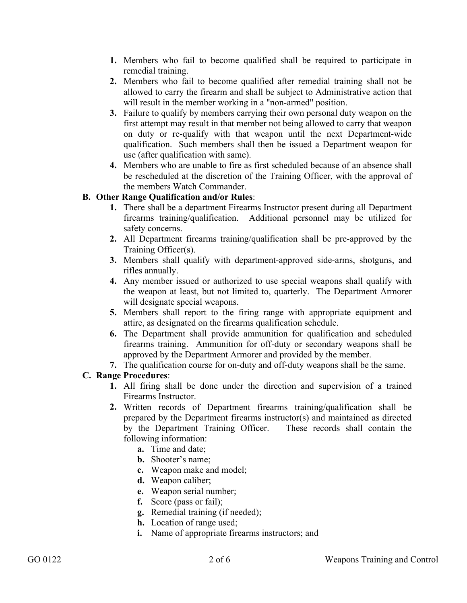- **1.** Members who fail to become qualified shall be required to participate in remedial training.
- **2.** Members who fail to become qualified after remedial training shall not be allowed to carry the firearm and shall be subject to Administrative action that will result in the member working in a "non-armed" position.
- **3.** Failure to qualify by members carrying their own personal duty weapon on the first attempt may result in that member not being allowed to carry that weapon on duty or re-qualify with that weapon until the next Department-wide qualification. Such members shall then be issued a Department weapon for use (after qualification with same).
- **4.** Members who are unable to fire as first scheduled because of an absence shall be rescheduled at the discretion of the Training Officer, with the approval of the members Watch Commander.

## **B. Other Range Qualification and/or Rules**:

- **1.** There shall be a department Firearms Instructor present during all Department firearms training/qualification. Additional personnel may be utilized for safety concerns.
- **2.** All Department firearms training/qualification shall be pre-approved by the Training Officer(s).
- **3.** Members shall qualify with department-approved side-arms, shotguns, and rifles annually.
- **4.** Any member issued or authorized to use special weapons shall qualify with the weapon at least, but not limited to, quarterly. The Department Armorer will designate special weapons.
- **5.** Members shall report to the firing range with appropriate equipment and attire, as designated on the firearms qualification schedule.
- **6.** The Department shall provide ammunition for qualification and scheduled firearms training. Ammunition for off-duty or secondary weapons shall be approved by the Department Armorer and provided by the member.
- **7.** The qualification course for on-duty and off-duty weapons shall be the same.

## **C. Range Procedures**:

- **1.** All firing shall be done under the direction and supervision of a trained Firearms Instructor.
- **2.** Written records of Department firearms training/qualification shall be prepared by the Department firearms instructor(s) and maintained as directed by the Department Training Officer. These records shall contain the following information:
	- **a.** Time and date;
	- **b.** Shooter's name;
	- **c.** Weapon make and model;
	- **d.** Weapon caliber;
	- **e.** Weapon serial number;
	- **f.** Score (pass or fail);
	- **g.** Remedial training (if needed);
	- **h.** Location of range used;
	- **i.** Name of appropriate firearms instructors; and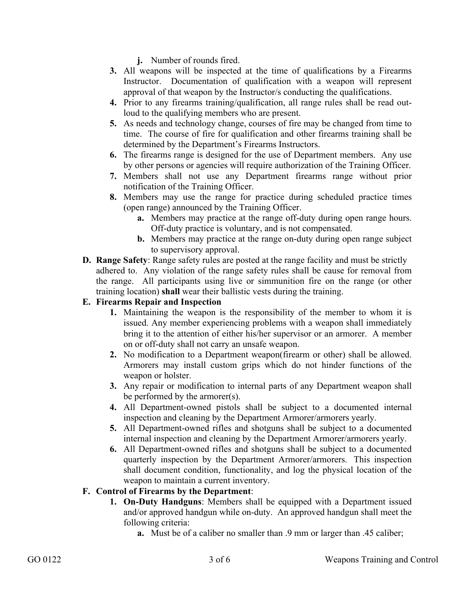**j.** Number of rounds fired.

- **3.** All weapons will be inspected at the time of qualifications by a Firearms Instructor. Documentation of qualification with a weapon will represent approval of that weapon by the Instructor/s conducting the qualifications.
- **4.** Prior to any firearms training/qualification, all range rules shall be read outloud to the qualifying members who are present.
- **5.** As needs and technology change, courses of fire may be changed from time to time. The course of fire for qualification and other firearms training shall be determined by the Department's Firearms Instructors.
- **6.** The firearms range is designed for the use of Department members. Any use by other persons or agencies will require authorization of the Training Officer.
- **7.** Members shall not use any Department firearms range without prior notification of the Training Officer.
- **8.** Members may use the range for practice during scheduled practice times (open range) announced by the Training Officer.
	- **a.** Members may practice at the range off-duty during open range hours. Off-duty practice is voluntary, and is not compensated.
	- **b.** Members may practice at the range on-duty during open range subject to supervisory approval.
- **D. Range Safety**: Range safety rules are posted at the range facility and must be strictly adhered to. Any violation of the range safety rules shall be cause for removal from the range. All participants using live or simmunition fire on the range (or other training location) **shall** wear their ballistic vests during the training.

## **E. Firearms Repair and Inspection**

- **1.** Maintaining the weapon is the responsibility of the member to whom it is issued. Any member experiencing problems with a weapon shall immediately bring it to the attention of either his/her supervisor or an armorer. A member on or off-duty shall not carry an unsafe weapon.
- **2.** No modification to a Department weapon(firearm or other) shall be allowed. Armorers may install custom grips which do not hinder functions of the weapon or holster.
- **3.** Any repair or modification to internal parts of any Department weapon shall be performed by the armorer(s).
- **4.** All Department-owned pistols shall be subject to a documented internal inspection and cleaning by the Department Armorer/armorers yearly.
- **5.** All Department-owned rifles and shotguns shall be subject to a documented internal inspection and cleaning by the Department Armorer/armorers yearly.
- **6.** All Department-owned rifles and shotguns shall be subject to a documented quarterly inspection by the Department Armorer/armorers. This inspection shall document condition, functionality, and log the physical location of the weapon to maintain a current inventory.

#### **F. Control of Firearms by the Department**:

- **1. On-Duty Handguns**: Members shall be equipped with a Department issued and/or approved handgun while on-duty. An approved handgun shall meet the following criteria:
	- **a.** Must be of a caliber no smaller than .9 mm or larger than .45 caliber;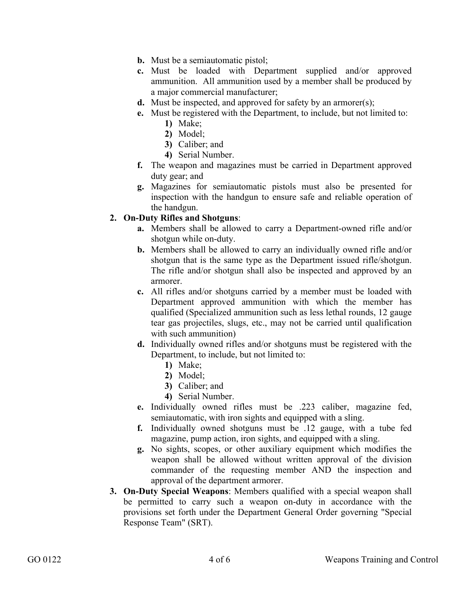- **b.** Must be a semiautomatic pistol;
- **c.** Must be loaded with Department supplied and/or approved ammunition. All ammunition used by a member shall be produced by a major commercial manufacturer;
- **d.** Must be inspected, and approved for safety by an armorer(s);
- **e.** Must be registered with the Department, to include, but not limited to:
	- **1)** Make;
	- **2)** Model;
	- **3)** Caliber; and
	- **4)** Serial Number.
- **f.** The weapon and magazines must be carried in Department approved duty gear; and
- **g.** Magazines for semiautomatic pistols must also be presented for inspection with the handgun to ensure safe and reliable operation of the handgun.

#### **2. On-Duty Rifles and Shotguns**:

- **a.** Members shall be allowed to carry a Department-owned rifle and/or shotgun while on-duty.
- **b.** Members shall be allowed to carry an individually owned rifle and/or shotgun that is the same type as the Department issued rifle/shotgun. The rifle and/or shotgun shall also be inspected and approved by an armorer.
- **c.** All rifles and/or shotguns carried by a member must be loaded with Department approved ammunition with which the member has qualified (Specialized ammunition such as less lethal rounds, 12 gauge tear gas projectiles, slugs, etc., may not be carried until qualification with such ammunition)
- **d.** Individually owned rifles and/or shotguns must be registered with the Department, to include, but not limited to:
	- **1)** Make;
	- **2)** Model;
	- **3)** Caliber; and
	- **4)** Serial Number.
- **e.** Individually owned rifles must be .223 caliber, magazine fed, semiautomatic, with iron sights and equipped with a sling.
- **f.** Individually owned shotguns must be .12 gauge, with a tube fed magazine, pump action, iron sights, and equipped with a sling.
- **g.** No sights, scopes, or other auxiliary equipment which modifies the weapon shall be allowed without written approval of the division commander of the requesting member AND the inspection and approval of the department armorer.
- **3. On-Duty Special Weapons**: Members qualified with a special weapon shall be permitted to carry such a weapon on-duty in accordance with the provisions set forth under the Department General Order governing "Special Response Team" (SRT).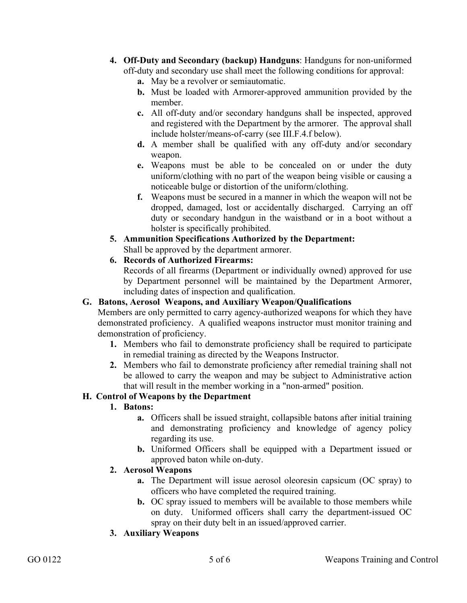- **4. Off-Duty and Secondary (backup) Handguns**: Handguns for non-uniformed off-duty and secondary use shall meet the following conditions for approval:
	- **a.** May be a revolver or semiautomatic.
	- **b.** Must be loaded with Armorer-approved ammunition provided by the member.
	- **c.** All off-duty and/or secondary handguns shall be inspected, approved and registered with the Department by the armorer. The approval shall include holster/means-of-carry (see III.F.4.f below).
	- **d.** A member shall be qualified with any off-duty and/or secondary weapon.
	- **e.** Weapons must be able to be concealed on or under the duty uniform/clothing with no part of the weapon being visible or causing a noticeable bulge or distortion of the uniform/clothing.
	- **f.** Weapons must be secured in a manner in which the weapon will not be dropped, damaged, lost or accidentally discharged. Carrying an off duty or secondary handgun in the waistband or in a boot without a holster is specifically prohibited.
- **5. Ammunition Specifications Authorized by the Department:**  Shall be approved by the department armorer.
- **6. Records of Authorized Firearms:**

Records of all firearms (Department or individually owned) approved for use by Department personnel will be maintained by the Department Armorer, including dates of inspection and qualification.

## **G. Batons, Aerosol Weapons, and Auxiliary Weapon/Qualifications**

Members are only permitted to carry agency-authorized weapons for which they have demonstrated proficiency. A qualified weapons instructor must monitor training and demonstration of proficiency.

- **1.** Members who fail to demonstrate proficiency shall be required to participate in remedial training as directed by the Weapons Instructor.
- **2.** Members who fail to demonstrate proficiency after remedial training shall not be allowed to carry the weapon and may be subject to Administrative action that will result in the member working in a "non-armed" position.

## **H. Control of Weapons by the Department**

#### **1. Batons:**

- **a.** Officers shall be issued straight, collapsible batons after initial training and demonstrating proficiency and knowledge of agency policy regarding its use.
- **b.** Uniformed Officers shall be equipped with a Department issued or approved baton while on-duty.

## **2. Aerosol Weapons**

- **a.** The Department will issue aerosol oleoresin capsicum (OC spray) to officers who have completed the required training.
- **b.** OC spray issued to members will be available to those members while on duty. Uniformed officers shall carry the department-issued OC spray on their duty belt in an issued/approved carrier.

## **3. Auxiliary Weapons**